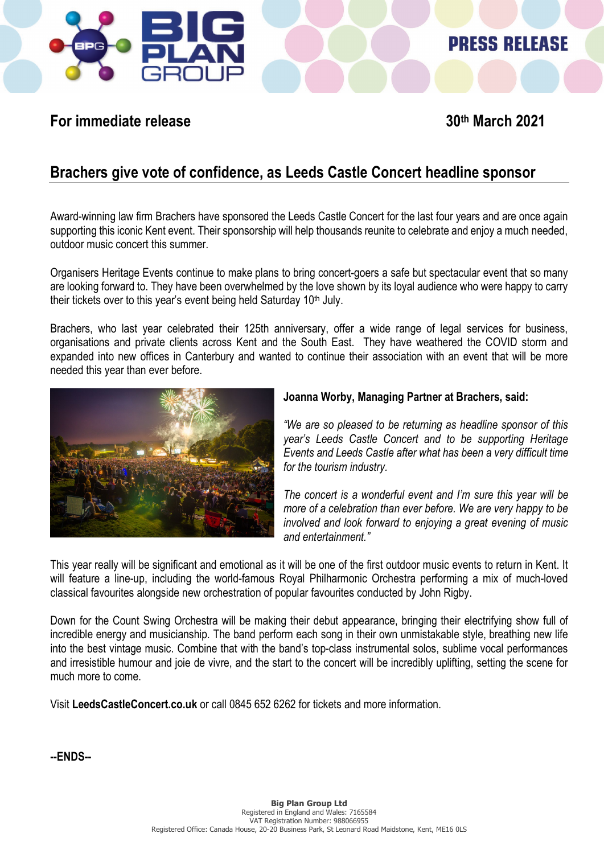## **For immediate release** 30th March 2021

**PRESS RELEASE** 

# **Brachers give vote of confidence, as Leeds Castle Concert headline sponsor**

Award-winning law firm Brachers have sponsored the Leeds Castle Concert for the last four years and are once again supporting this iconic Kent event. Their sponsorship will help thousands reunite to celebrate and enjoy a much needed, outdoor music concert this summer.

Organisers Heritage Events continue to make plans to bring concert-goers a safe but spectacular event that so many are looking forward to. They have been overwhelmed by the love shown by its loyal audience who were happy to carry their tickets over to this year's event being held Saturday 10<sup>th</sup> July.

Brachers, who last year celebrated their 125th anniversary, offer a wide range of legal services for business, organisations and private clients across Kent and the South East. They have weathered the COVID storm and expanded into new offices in Canterbury and wanted to continue their association with an event that will be more needed this year than ever before.



### **Joanna Worby, Managing Partner at Brachers, said:**

*"We are so pleased to be returning as headline sponsor of this year's Leeds Castle Concert and to be supporting Heritage Events and Leeds Castle after what has been a very difficult time for the tourism industry.* 

*The concert is a wonderful event and I'm sure this year will be more of a celebration than ever before. We are very happy to be involved and look forward to enjoying a great evening of music and entertainment."*

This year really will be significant and emotional as it will be one of the first outdoor music events to return in Kent. It will feature a line-up, including the world-famous Royal Philharmonic Orchestra performing a mix of much-loved classical favourites alongside new orchestration of popular favourites conducted by John Rigby.

Down for the Count Swing Orchestra will be making their debut appearance, bringing their electrifying show full of incredible energy and musicianship. The band perform each song in their own unmistakable style, breathing new life into the best vintage music. Combine that with the band's top-class instrumental solos, sublime vocal performances and irresistible humour and joie de vivre, and the start to the concert will be incredibly uplifting, setting the scene for much more to come.

Visit **[LeedsCastleConcert.co.uk](http://www.leedscastleconcert.co.uk/)** or call 0845 652 6262 for tickets and more information.

**--ENDS--**